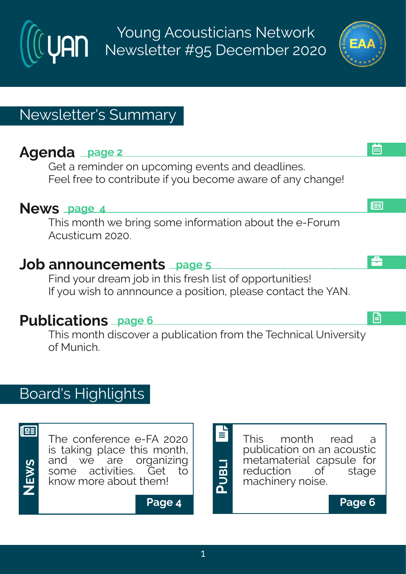Young Acousticians Network Newsletter #95 December 2020

# Newsletter's Summary

## **Agenda page 2**

Get a reminder on upcoming events and deadlines. Feel free to contribute if you become aware of any change!

### **News page 4**

This month we bring some information about the e-Forum Acusticum 2020.

### **Job announcements page 5**

Find your dream job in this fresh list of opportunities! If you wish to annnounce a position, please contact the YAN.

### **Publications page 6**

This month discover a publication from the Technical University of Munich.

## Board's Highlights



<u>ທ</u>

**NE**

The conference e-FA 2020 is taking place this month, and we are organizing some activities. Get to know more about them! **W**



**P**

**B**





画

å

l⊞

日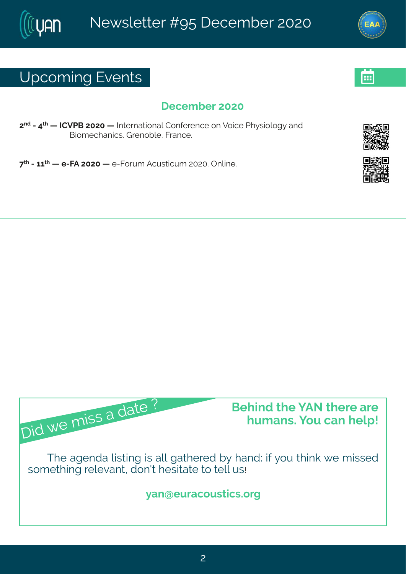### Yt gsq mk#zi r xw

#### Ligiq fiv#575

7<sup>rh</sup>#2#9<sup>x</sup> #6 #NHZUG#7575#6 #Nxivrexmsrep#Hsrjivirgi#sr#Zsmgi#Ul}wmspsk}#erh# Grsq i gler rom wood kuirsf pit Kner gi 3

<< # # 2466 \* # 2KF # 7575 # # 2Ks w q # F q y w x q w = 753 # r pm i 3

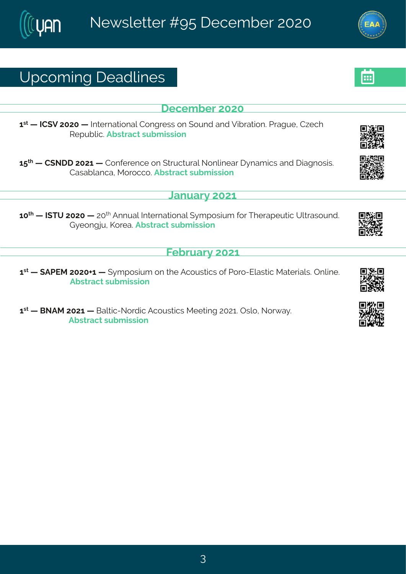# Yt gsq mk# i ehpni w

i gi q f i v#575

6W#6 #NH(Z#7575#6 #NNxi vrexmsrep#Hsrkviww#sr#syrh#erh#Zmfvexmsr3#Uvekyi#H~igl# Wit yf pro 3Ff wwe gx#w f q mwnsn

6:  $\frac{1}{2}$  #6: #H(SII#7576#6: #Hsrjivirgi#sr#; xwgxyvep#Ssrpmiev#}reg monw#erh#imekrswmw3# Hewef per get R s vs ggs 3Ff wwegx#w f q mwnsn

**Cervey #576** 

65<sup>xl</sup> #6 #NIXY#7575#6 #75<sup>x</sup> #Frryep#Ntxivrexmsrep#(}qtswmyq#jsv#Xlivetiyxmg#Ypxewsyrh3# L } i sr k ry #Ps vi e 3Ff wwegx#w f q mwnsr

 $\overline{K}$  f wev}  $\overline{\text{$\#576}}$ 

6 \*\* # FUJR#757506#6 # } q t swmyq #sr#l i #Fgsyw-mogw#sj#Jsvs2Jpew-mog#Rexivmep.w \$Trpmi 3# Ff wwegx#w f q mwnsr

6 46 # GSFR # 7576 # \$ # Gepxon 2 S s vhrop # Figs y wxon w # R i i xnn k # 7576 \$ # T was # S s v e } 3 Ff wwegx#w f g mwnsr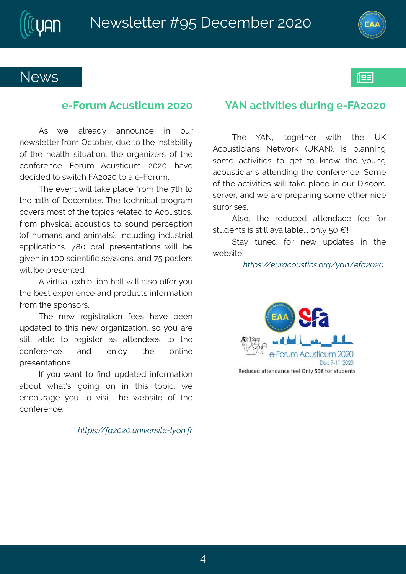#### Si { w

#### i 2Kswg  $#$ gywngyg  $#$ 575

Fw#  $\{ i # \text{ epi} \text{ eh} \}$ # errsyrgi# mm# syv# ri{ wpixxiv#,vsq #Tgxsfiv/#hyi#xs#xli#mwwefmpox}# si# xi# i ep / # www.exnsr4# xi# swkern aiw # si# xi# gsrii virgi # Kswq # Fgywngyq # 7575# lezi # highnih#s#w[mql#KF7575#s#e#2Kswg3

XI i # zi r x# montheori# pegi# vsq # N i # x x # x # xli#66xl#sj#ligiqfiv\$#Xli#xiglrmgep#tvskveq# gsziw#q sw#sj#vli#stmow#vipexih#s#Fqsywmogw# jvsq #1 } wrone p#egsyworony#xs#wsyrh#tivgit xnsr# -si#l yq er w#er h#er mo epw #mngpyhmk#mnhyww.mep# et tpropexmsrw \$  $\leq$  = 5#s ver  $\neq$  tvi r xexmsrw # { mpont fi # knzir #m#655# wgmirxnjng#wiwwnsnrw#erh# c:# swwiw# { monoti# viwir xih 3

F#zmowep# | Infinomsr#epp# mpo#epvs#sZiv#sy# xli#tiwo#ltivmingi#erh#vshygxw#mjsvgexmsr# jvsq#N i#wtsrwsww8

Xli#ri{#viknowexmsr#jiiw#lezi#fiir# ythexihts # withif # swkern exams r # ws# sy# evi# wannot # x s # vik mwiv # ew # exxir hiiw # x s # x i # srpni# gsriivirgi#erh#irms}#  $\overline{x}$  i  $\overline{x}$ t vi wir xexmsr w<sup>8</sup>

NHA sy# erx#xs# rh#ythexih#misvq exmsr#  $\frac{1}{2}$  efsyx#{lexoin#ksmnk#sr#mn#xlnnw#xstmng1#{i#  $i$  r qsyveki#}sy#xs#zmmo#xli#{ifwmoi#sj#xli# asrii virgi?

 $#$ 

 $Z@34"$   $\mathcal{N}$  $\mathcal{P}$   $\mathcal{N}$   $\mathcal{P}$   $\mathcal{N}$   $\mathcal{N}$   $\mathcal{N}$   $\mathcal{N}$   $\mathcal{N}$   $\mathcal{N}$   $\mathcal{N}$   $\mathcal{N}$   $\mathcal{N}$   $\mathcal{N}$   $\mathcal{N}$   $\mathcal{N}$   $\mathcal{N}$   $\mathcal{N}$   $\mathcal{N}$   $\mathcal{N}$   $\mathcal{N}$   $\mathcal{N}$   $\mathcal{N}$   $\mathcal{N}$ 

#### IFS#gxmaminx#yvmk#2KF7575

Xli# ]FS# xskixliv# { mot # xli# YP# Fasywomerw#Six{svo#-YPFS.# mw#tperrmnk# wsqi#egxm2nxminw#xs#kix#xs#ors{#xli#}syrk# egsywnogmerw#exxirhmrk#xli#gsrjivirgi3#(sqi# sitty i the gramation of mother of the people that the y value maps what wivziv#erh# i#evi#tvitewnk#wsqi#sxliv#rngi# www.wwiw8

Fpns # x i # x hygih # exxi r hegi # ji i # js x # way hir xwttwttwapotezempef pi 3336 r p # 5 # 8 \$

 $(xe)$  # xyrih # js w # ri { # y t hexi w # m # x i # { if wowi?

 $E(X\rightarrow 34^{\circ})$   $E(X\rightarrow 10^{\circ})$   $E(X\rightarrow 34^{\circ})$   $E(X\rightarrow 34^{\circ})$   $E(X\rightarrow 10^{\circ})$   $E(X\rightarrow 10^{\circ})$   $E(X\rightarrow 10^{\circ})$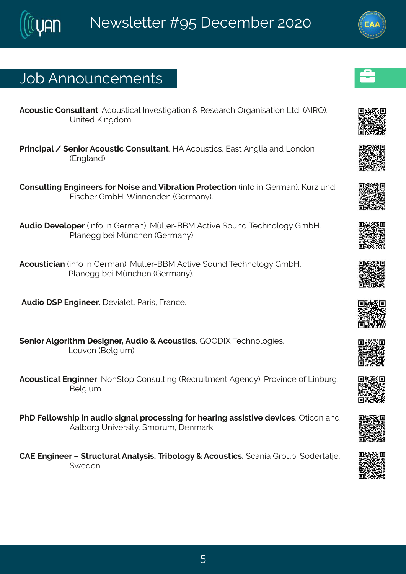## Osf#Frrsyrgiqirxw

Fasyword#Hsrwypxerx SF asywordep#Niziworkex osr# #W wieval #T wkermex sar#Q wh 3#FNNT. 3# Yrmih#Pmkhsq 3  $#$  $#$ Uvm grhep#1 # i r msv#Fgsywxmg#Hsr wypxerx3#MF#Fgsywxmgw3#Jewx#Frkpme#erh#Qsrhsr# -Jrknerh.3  $#$  $#$ Hsrwypxnk#lrkmiiw#sv#Ssmvi#erh#Zmfvexmsr#Jvsxigxmsr#mnjs#m#Livqer.3#Pyv-#yrh# Knowgliv#LqfM3# mrrirhir#Livqer}.33 # Fyhnsa# izipstiv#mqjs#mn#Livqer.3#Rcppiv2GGR#Fgxnzni#(syrh#Xiglrspsk}#LqfM3# Uperikk#in#Rcrglir#Livger}.3  $#$ Fgsyworgmer#mnjs#mn#Livqer.3AR cpoiv2GGR#Fgxnzi# syrh#XigIrspsk}#LqfM3 Uperikk#in#Rcrglir#Livger}.3  $#$ #Fyhra# (U#Jrkmiiv3#izmenoix3#Jevnw4#Kvergi3  $#$ (irmsv#Fpksvnxlq#iwnkriv1#Fyhms#+#Fgsywxngw&ETTINt#XigIrspskmiw8  $Q$  yzi r #Gi pkm q  $.$   $\frac{1}{2}$ Fgsywongep#Jrkmriv3#Ssr(xst#Hsrwypxnnk#Wigw,moqirx#Fkirg}.3#Jvszm.gi#sj#Qmfyvk# Gi pk myq  $\frac{3\pi}{2}$  $#$ UII#Kipps{ wimt#m#eyhms#whxrep#t vsgiwwmk#sv#lievmk#ewwmwanzi#hizmgiw3#Txmgsr#erh# Fepfs wk:#Yrmziwwno) 3# q swyq 1# irq evo 3 HFJ#Jrkmiiw6#xwgxyvep#Frep}wnw1#Xwnfspsk}#+#Fgsywxngw3#germe#Lvsyt3#shiwepni1#

 $($ ihir3